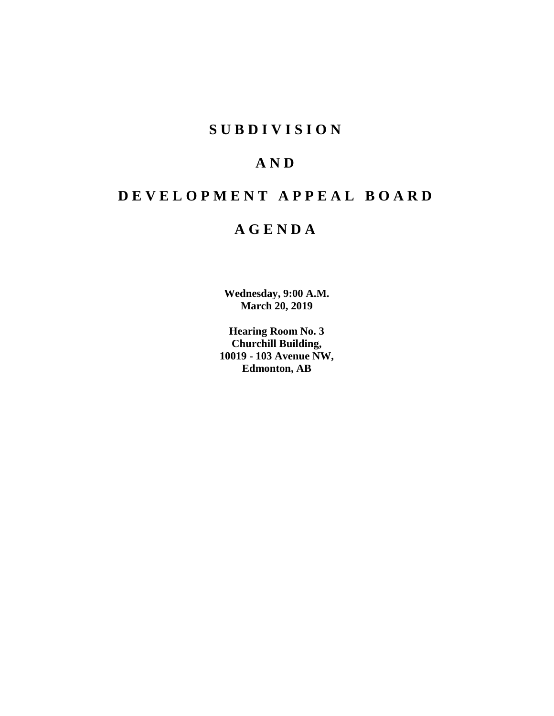## **SUBDIVISION**

## **AND**

# **DEVELOPMENT APPEAL BOARD**

## **AGENDA**

**Wednesday, 9:00 A.M. March 20, 2019**

**Hearing Room No. 3 Churchill Building, 10019 - 103 Avenue NW, Edmonton, AB**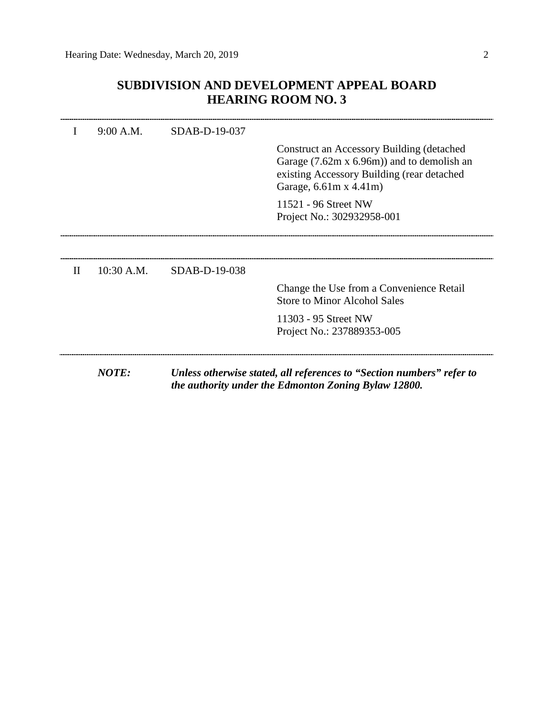## **SUBDIVISION AND DEVELOPMENT APPEAL BOARD HEARING ROOM NO. 3**

| Garage, 6.61m x 4.41m)<br>11521 - 96 Street NW<br>Project No.: 302932958-001<br>$10:30$ A.M.<br>$\mathbf{H}$<br>SDAB-D-19-038<br><b>Store to Minor Alcohol Sales</b><br>11303 - 95 Street NW | SDAB-D-19-037 |                                                                                                                                             |
|----------------------------------------------------------------------------------------------------------------------------------------------------------------------------------------------|---------------|---------------------------------------------------------------------------------------------------------------------------------------------|
|                                                                                                                                                                                              |               | Construct an Accessory Building (detached<br>Garage $(7.62m \times 6.96m)$ and to demolish an<br>existing Accessory Building (rear detached |
|                                                                                                                                                                                              |               |                                                                                                                                             |
|                                                                                                                                                                                              |               |                                                                                                                                             |
|                                                                                                                                                                                              |               | Change the Use from a Convenience Retail                                                                                                    |
| Project No.: 237889353-005                                                                                                                                                                   |               |                                                                                                                                             |
| NOTE:                                                                                                                                                                                        |               | Unless otherwise stated, all references to "Section numbers" refer to<br>the authority under the Edmonton Zoning Bylaw 12800.               |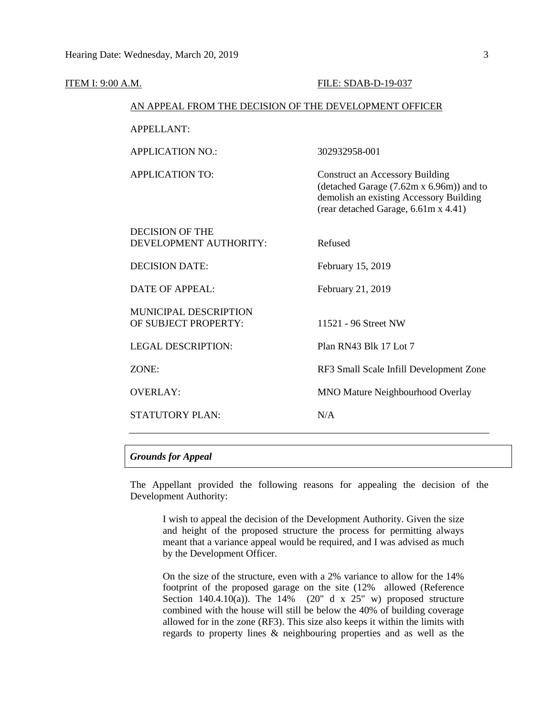| ITEM I: 9:00 A.M. |                                                        | FILE: SDAB-D-19-037                                                                                                                                                   |
|-------------------|--------------------------------------------------------|-----------------------------------------------------------------------------------------------------------------------------------------------------------------------|
|                   | AN APPEAL FROM THE DECISION OF THE DEVELOPMENT OFFICER |                                                                                                                                                                       |
|                   | <b>APPELLANT:</b>                                      |                                                                                                                                                                       |
|                   | <b>APPLICATION NO.:</b>                                | 302932958-001                                                                                                                                                         |
|                   | <b>APPLICATION TO:</b>                                 | <b>Construct an Accessory Building</b><br>(detached Garage (7.62m x 6.96m)) and to<br>demolish an existing Accessory Building<br>(rear detached Garage, 6.61m x 4.41) |
|                   | <b>DECISION OF THE</b><br>DEVELOPMENT AUTHORITY:       | Refused                                                                                                                                                               |
|                   | <b>DECISION DATE:</b>                                  | February 15, 2019                                                                                                                                                     |
|                   | <b>DATE OF APPEAL:</b>                                 | February 21, 2019                                                                                                                                                     |
|                   | <b>MUNICIPAL DESCRIPTION</b><br>OF SUBJECT PROPERTY:   | 11521 - 96 Street NW                                                                                                                                                  |
|                   | <b>LEGAL DESCRIPTION:</b>                              | Plan RN43 Blk 17 Lot 7                                                                                                                                                |
|                   | ZONE:                                                  | RF3 Small Scale Infill Development Zone                                                                                                                               |
|                   | <b>OVERLAY:</b>                                        | <b>MNO Mature Neighbourhood Overlay</b>                                                                                                                               |
|                   | <b>STATUTORY PLAN:</b>                                 | N/A                                                                                                                                                                   |
|                   |                                                        |                                                                                                                                                                       |

### *Grounds for Appeal*

The Appellant provided the following reasons for appealing the decision of the Development Authority:

I wish to appeal the decision of the Development Authority. Given the size and height of the proposed structure the process for permitting always meant that a variance appeal would be required, and I was advised as much by the Development Officer.

On the size of the structure, even with a 2% variance to allow for the 14% footprint of the proposed garage on the site (12% allowed (Reference Section  $140.4.10(a)$ ). The  $14\%$  (20" d x 25" w) proposed structure combined with the house will still be below the 40% of building coverage allowed for in the zone (RF3). This size also keeps it within the limits with regards to property lines & neighbouring properties and as well as the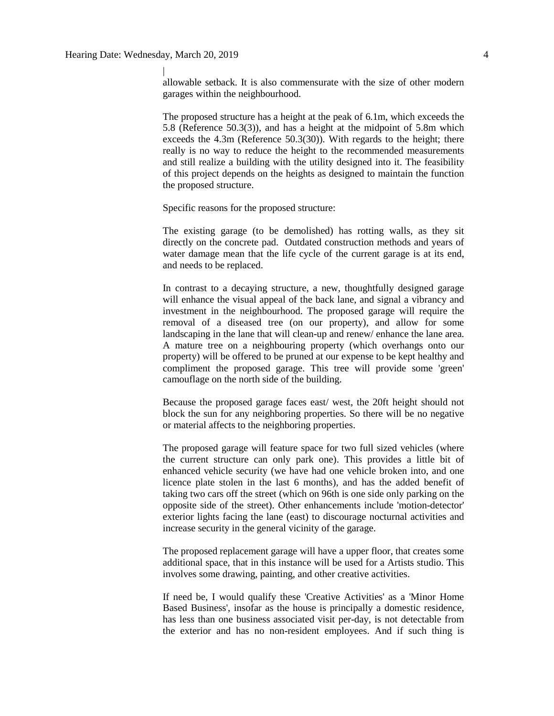|

allowable setback. It is also commensurate with the size of other modern garages within the neighbourhood.

The proposed structure has a height at the peak of 6.1m, which exceeds the 5.8 (Reference 50.3(3)), and has a height at the midpoint of 5.8m which exceeds the 4.3m (Reference 50.3(30)). With regards to the height; there really is no way to reduce the height to the recommended measurements and still realize a building with the utility designed into it. The feasibility of this project depends on the heights as designed to maintain the function the proposed structure.

Specific reasons for the proposed structure:

The existing garage (to be demolished) has rotting walls, as they sit directly on the concrete pad. Outdated construction methods and years of water damage mean that the life cycle of the current garage is at its end, and needs to be replaced.

In contrast to a decaying structure, a new, thoughtfully designed garage will enhance the visual appeal of the back lane, and signal a vibrancy and investment in the neighbourhood. The proposed garage will require the removal of a diseased tree (on our property), and allow for some landscaping in the lane that will clean-up and renew/ enhance the lane area. A mature tree on a neighbouring property (which overhangs onto our property) will be offered to be pruned at our expense to be kept healthy and compliment the proposed garage. This tree will provide some 'green' camouflage on the north side of the building.

Because the proposed garage faces east/ west, the 20ft height should not block the sun for any neighboring properties. So there will be no negative or material affects to the neighboring properties.

The proposed garage will feature space for two full sized vehicles (where the current structure can only park one). This provides a little bit of enhanced vehicle security (we have had one vehicle broken into, and one licence plate stolen in the last 6 months), and has the added benefit of taking two cars off the street (which on 96th is one side only parking on the opposite side of the street). Other enhancements include 'motion-detector' exterior lights facing the lane (east) to discourage nocturnal activities and increase security in the general vicinity of the garage.

The proposed replacement garage will have a upper floor, that creates some additional space, that in this instance will be used for a Artists studio. This involves some drawing, painting, and other creative activities.

If need be, I would qualify these 'Creative Activities' as a 'Minor Home Based Business', insofar as the house is principally a domestic residence, has less than one business associated visit per-day, is not detectable from the exterior and has no non-resident employees. And if such thing is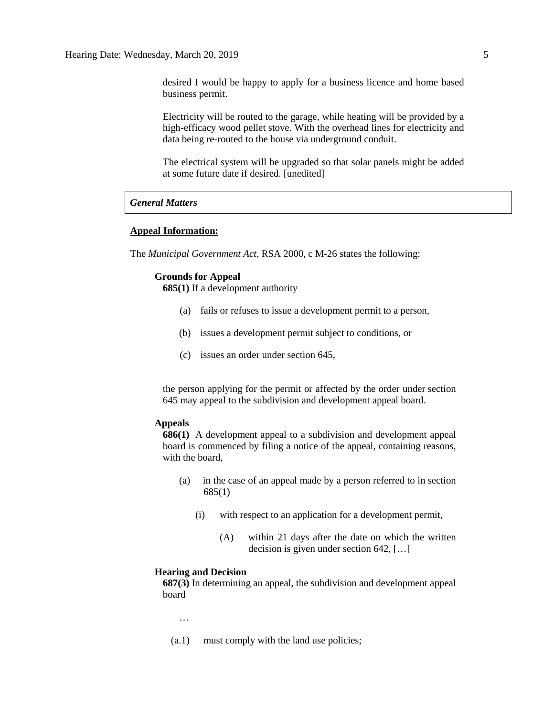desired I would be happy to apply for a business licence and home based business permit.

Electricity will be routed to the garage, while heating will be provided by a high-efficacy wood pellet stove. With the overhead lines for electricity and data being re-routed to the house via underground conduit.

The electrical system will be upgraded so that solar panels might be added at some future date if desired. [unedited]

#### *General Matters*

## **Appeal Information:**

The *Municipal Government Act*, RSA 2000, c M-26 states the following:

#### **Grounds for Appeal**

**685(1)** If a development authority

- (a) fails or refuses to issue a development permit to a person,
- (b) issues a development permit subject to conditions, or
- (c) issues an order under section 645,

the person applying for the permit or affected by the order under section 645 may appeal to the subdivision and development appeal board.

#### **Appeals**

**686(1)** A development appeal to a subdivision and development appeal board is commenced by filing a notice of the appeal, containing reasons, with the board,

- (a) in the case of an appeal made by a person referred to in section 685(1)
	- (i) with respect to an application for a development permit,
		- (A) within 21 days after the date on which the written decision is given under section 642, […]

### **Hearing and Decision**

**687(3)** In determining an appeal, the subdivision and development appeal board

…

(a.1) must comply with the land use policies;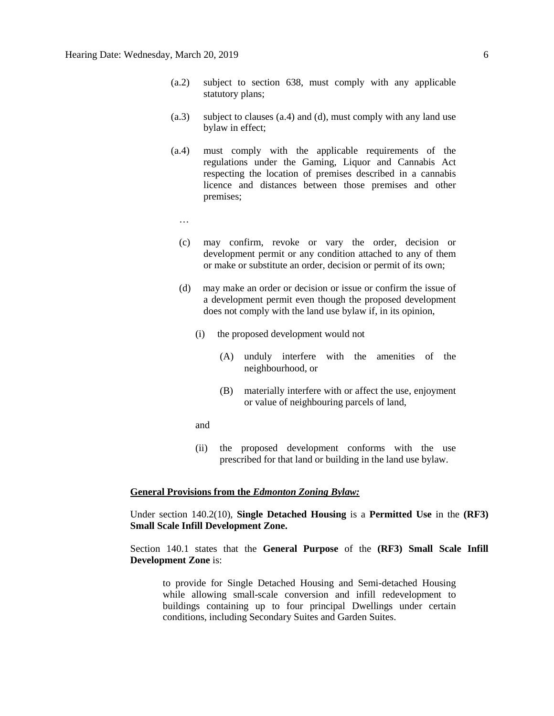- (a.2) subject to section 638, must comply with any applicable statutory plans;
- (a.3) subject to clauses (a.4) and (d), must comply with any land use bylaw in effect;
- (a.4) must comply with the applicable requirements of the regulations under the Gaming, Liquor and Cannabis Act respecting the location of premises described in a cannabis licence and distances between those premises and other premises;
	- …
	- (c) may confirm, revoke or vary the order, decision or development permit or any condition attached to any of them or make or substitute an order, decision or permit of its own;
	- (d) may make an order or decision or issue or confirm the issue of a development permit even though the proposed development does not comply with the land use bylaw if, in its opinion,
		- (i) the proposed development would not
			- (A) unduly interfere with the amenities of the neighbourhood, or
			- (B) materially interfere with or affect the use, enjoyment or value of neighbouring parcels of land,
		- and
		- (ii) the proposed development conforms with the use prescribed for that land or building in the land use bylaw.

#### **General Provisions from the** *Edmonton Zoning Bylaw:*

Under section 140.2(10), **Single Detached Housing** is a **Permitted Use** in the **(RF3) Small Scale Infill Development Zone.**

Section 140.1 states that the **General Purpose** of the **(RF3) Small Scale Infill Development Zone** is:

to provide for Single Detached Housing and Semi-detached Housing while allowing small-scale conversion and infill redevelopment to buildings containing up to four principal Dwellings under certain conditions, including Secondary Suites and Garden Suites.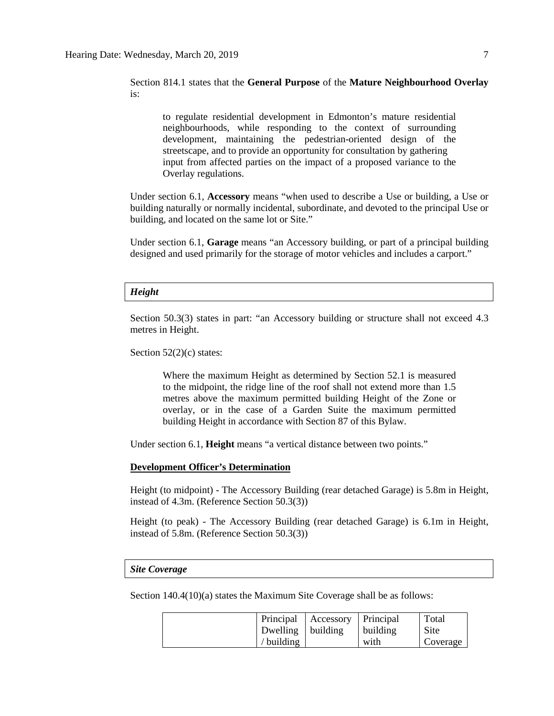Section 814.1 states that the **General Purpose** of the **Mature Neighbourhood Overlay** is:

to regulate residential development in Edmonton's mature residential neighbourhoods, while responding to the context of surrounding development, maintaining the pedestrian-oriented design of the streetscape, and to provide an opportunity for consultation by gathering input from affected parties on the impact of a proposed variance to the Overlay regulations.

Under section 6.1, **Accessory** means "when used to describe a Use or building, a Use or building naturally or normally incidental, subordinate, and devoted to the principal Use or building, and located on the same lot or Site."

Under section 6.1, **Garage** means "an Accessory building, or part of a principal building designed and used primarily for the storage of motor vehicles and includes a carport."

#### *Height*

Section 50.3(3) states in part: "an Accessory building or structure shall not exceed 4.3 metres in Height.

Section  $52(2)(c)$  states:

Where the maximum Height as determined by Section 52.1 is measured to the midpoint, the ridge line of the roof shall not extend more than 1.5 metres above the maximum permitted building Height of the Zone or overlay, or in the case of a Garden Suite the maximum permitted building Height in accordance with Section 87 of this Bylaw.

Under section 6.1, **Height** means "a vertical distance between two points."

### **Development Officer's Determination**

Height (to midpoint) - The Accessory Building (rear detached Garage) is 5.8m in Height, instead of 4.3m. (Reference Section 50.3(3))

Height (to peak) - The Accessory Building (rear detached Garage) is 6.1m in Height, instead of 5.8m. (Reference Section 50.3(3))

#### *Site Coverage*

Section 140.4(10)(a) states the Maximum Site Coverage shall be as follows:

|                     | Principal   Accessory   Principal |          | Total    |
|---------------------|-----------------------------------|----------|----------|
| Dwelling   building |                                   | building | Site     |
| $\ell$ building     |                                   | with     | Coverage |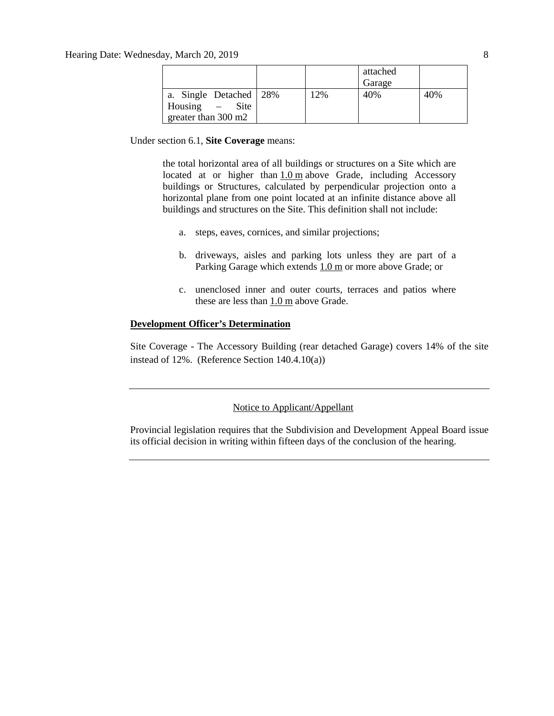|                            |     | attached<br>Garage |     |
|----------------------------|-----|--------------------|-----|
|                            |     |                    |     |
| a. Single Detached   28%   | 12% | 40%                | 40% |
| <b>Site</b><br>Housing $-$ |     |                    |     |
| greater than 300 m2        |     |                    |     |

Under section 6.1, **Site Coverage** means:

the total horizontal area of all buildings or structures on a Site which are located at or higher than [1.0](javascript:void(0);) m above Grade, including Accessory buildings or Structures, calculated by perpendicular projection onto a horizontal plane from one point located at an infinite distance above all buildings and structures on the Site. This definition shall not include:

- a. steps, eaves, cornices, and similar projections;
- b. driveways, aisles and parking lots unless they are part of a Parking Garage which extends  $1.0 \text{ m}$  $1.0 \text{ m}$  or more above Grade; or
- c. unenclosed inner and outer courts, terraces and patios where these are less than  $1.0 \text{ m}$  $1.0 \text{ m}$  above Grade.

## **Development Officer's Determination**

Site Coverage - The Accessory Building (rear detached Garage) covers 14% of the site instead of 12%. (Reference Section 140.4.10(a))

### Notice to Applicant/Appellant

Provincial legislation requires that the Subdivision and Development Appeal Board issue its official decision in writing within fifteen days of the conclusion of the hearing.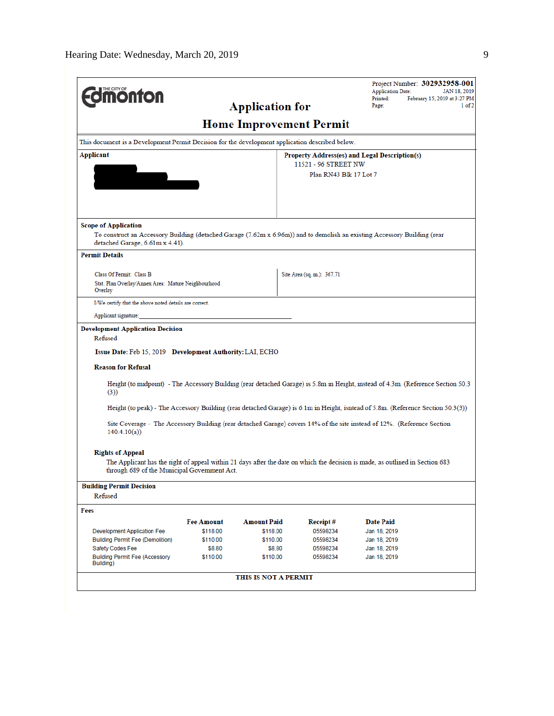|                                                                                                                                                          |                   |                        |                                | Project Number: 302932958-001                                                                                                    |                                              |
|----------------------------------------------------------------------------------------------------------------------------------------------------------|-------------------|------------------------|--------------------------------|----------------------------------------------------------------------------------------------------------------------------------|----------------------------------------------|
| <b><i><u><u>monton</u></u></i></b>                                                                                                                       |                   |                        |                                | <b>Application Date:</b><br>Printed:                                                                                             | JAN 18, 2019<br>February 15, 2019 at 3:27 PM |
|                                                                                                                                                          |                   | <b>Application for</b> |                                | Page:                                                                                                                            | $1$ of $2$                                   |
|                                                                                                                                                          |                   |                        | <b>Home Improvement Permit</b> |                                                                                                                                  |                                              |
| This document is a Development Permit Decision for the development application described below.                                                          |                   |                        |                                |                                                                                                                                  |                                              |
| Applicant                                                                                                                                                |                   |                        |                                | Property Address(es) and Legal Description(s)                                                                                    |                                              |
|                                                                                                                                                          |                   |                        | 11521 - 96 STREET NW           |                                                                                                                                  |                                              |
|                                                                                                                                                          |                   |                        | Plan RN43 Blk 17 Lot 7         |                                                                                                                                  |                                              |
|                                                                                                                                                          |                   |                        |                                |                                                                                                                                  |                                              |
|                                                                                                                                                          |                   |                        |                                |                                                                                                                                  |                                              |
|                                                                                                                                                          |                   |                        |                                |                                                                                                                                  |                                              |
| <b>Scope of Application</b><br>To construct an Accessory Building (detached Garage (7.62m x 6.96m)) and to demolish an existing Accessory Building (rear |                   |                        |                                |                                                                                                                                  |                                              |
| detached Garage, 6.61m x 4.41).                                                                                                                          |                   |                        |                                |                                                                                                                                  |                                              |
| <b>Permit Details</b>                                                                                                                                    |                   |                        |                                |                                                                                                                                  |                                              |
| Class Of Permit: Class B                                                                                                                                 |                   |                        | Site Area (sq. m.): 367.71     |                                                                                                                                  |                                              |
| Stat. Plan Overlay/Annex Area: Mature Neighbourhood<br>Overlay                                                                                           |                   |                        |                                |                                                                                                                                  |                                              |
| I/We certify that the above noted details are correct.                                                                                                   |                   |                        |                                |                                                                                                                                  |                                              |
|                                                                                                                                                          |                   |                        |                                |                                                                                                                                  |                                              |
| Applicant signature:                                                                                                                                     |                   |                        |                                |                                                                                                                                  |                                              |
| <b>Development Application Decision</b><br>Refused                                                                                                       |                   |                        |                                |                                                                                                                                  |                                              |
| Issue Date: Feb 15, 2019 Development Authority: LAI, ECHO                                                                                                |                   |                        |                                |                                                                                                                                  |                                              |
|                                                                                                                                                          |                   |                        |                                |                                                                                                                                  |                                              |
| <b>Reason for Refusal</b>                                                                                                                                |                   |                        |                                |                                                                                                                                  |                                              |
| (3))                                                                                                                                                     |                   |                        |                                | Height (to midpoint) - The Accessory Building (rear detached Garage) is 5.8m in Height, instead of 4.3m. (Reference Section 50.3 |                                              |
|                                                                                                                                                          |                   |                        |                                | Height (to peak) - The Accessory Building (rear detached Garage) is 6.1m in Height, isntead of 5.8m. (Reference Section 50.3(3)) |                                              |
|                                                                                                                                                          |                   |                        |                                | Site Coverage - The Accessory Building (rear detached Garage) covers 14% of the site instead of 12%. (Reference Section          |                                              |
| 140.4.10(a)                                                                                                                                              |                   |                        |                                |                                                                                                                                  |                                              |
|                                                                                                                                                          |                   |                        |                                |                                                                                                                                  |                                              |
| <b>Rights of Appeal</b>                                                                                                                                  |                   |                        |                                |                                                                                                                                  |                                              |
| through 689 of the Municipal Government Act.                                                                                                             |                   |                        |                                | The Applicant has the right of appeal within 21 days after the date on which the decision is made, as outlined in Section 683    |                                              |
| <b>Building Permit Decision</b>                                                                                                                          |                   |                        |                                |                                                                                                                                  |                                              |
| Refused                                                                                                                                                  |                   |                        |                                |                                                                                                                                  |                                              |
| Fees                                                                                                                                                     |                   |                        |                                |                                                                                                                                  |                                              |
|                                                                                                                                                          | <b>Fee Amount</b> | <b>Amount Paid</b>     | Receipt#                       | <b>Date Paid</b>                                                                                                                 |                                              |
| <b>Development Application Fee</b>                                                                                                                       | \$118.00          | \$118.00               | 05598234                       | Jan 18, 2019                                                                                                                     |                                              |
| <b>Building Permit Fee (Demolition)</b>                                                                                                                  | \$110.00          | \$110.00               | 05598234                       | Jan 18, 2019                                                                                                                     |                                              |
| Safety Codes Fee                                                                                                                                         | \$8.80            | \$8.80                 | 05598234                       | Jan 18, 2019                                                                                                                     |                                              |
| <b>Building Permit Fee (Accessory</b><br>Building)                                                                                                       | \$110.00          | \$110.00               | 05598234                       | Jan 18, 2019                                                                                                                     |                                              |
|                                                                                                                                                          |                   | THIS IS NOT A PERMIT   |                                |                                                                                                                                  |                                              |
|                                                                                                                                                          |                   |                        |                                |                                                                                                                                  |                                              |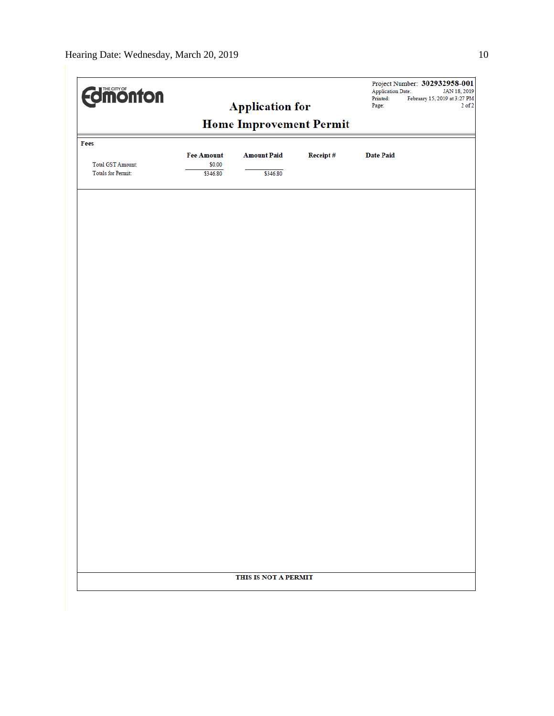| <b>Edimonton</b>          |                                | <b>Application for</b> |          | <b>Application Date:</b><br>Printed:<br>Page: | Project Number: 302932958-001<br>JAN 18, 2019<br>February 15, 2019 at 3:27 PM<br>$2$ of $2\,$ |  |
|---------------------------|--------------------------------|------------------------|----------|-----------------------------------------------|-----------------------------------------------------------------------------------------------|--|
|                           | <b>Home Improvement Permit</b> |                        |          |                                               |                                                                                               |  |
| Fees                      |                                |                        |          |                                               |                                                                                               |  |
| <b>Total GST Amount:</b>  | <b>Fee Amount</b><br>\$0.00    | <b>Amount Paid</b>     | Receipt# | <b>Date Paid</b>                              |                                                                                               |  |
| <b>Totals for Permit:</b> | \$346.80                       | \$346.80               |          |                                               |                                                                                               |  |
|                           |                                |                        |          |                                               |                                                                                               |  |
|                           |                                |                        |          |                                               |                                                                                               |  |
|                           |                                |                        |          |                                               |                                                                                               |  |
|                           |                                |                        |          |                                               |                                                                                               |  |
|                           |                                |                        |          |                                               |                                                                                               |  |
|                           |                                |                        |          |                                               |                                                                                               |  |
|                           |                                |                        |          |                                               |                                                                                               |  |
|                           |                                |                        |          |                                               |                                                                                               |  |
|                           |                                |                        |          |                                               |                                                                                               |  |
|                           |                                |                        |          |                                               |                                                                                               |  |
|                           |                                |                        |          |                                               |                                                                                               |  |
|                           |                                |                        |          |                                               |                                                                                               |  |
|                           |                                |                        |          |                                               |                                                                                               |  |
|                           |                                |                        |          |                                               |                                                                                               |  |
|                           |                                |                        |          |                                               |                                                                                               |  |
|                           |                                |                        |          |                                               |                                                                                               |  |
|                           |                                |                        |          |                                               |                                                                                               |  |
|                           |                                |                        |          |                                               |                                                                                               |  |
|                           |                                |                        |          |                                               |                                                                                               |  |
|                           |                                |                        |          |                                               |                                                                                               |  |
|                           |                                |                        |          |                                               |                                                                                               |  |
|                           |                                | THIS IS NOT A PERMIT   |          |                                               |                                                                                               |  |
|                           |                                |                        |          |                                               |                                                                                               |  |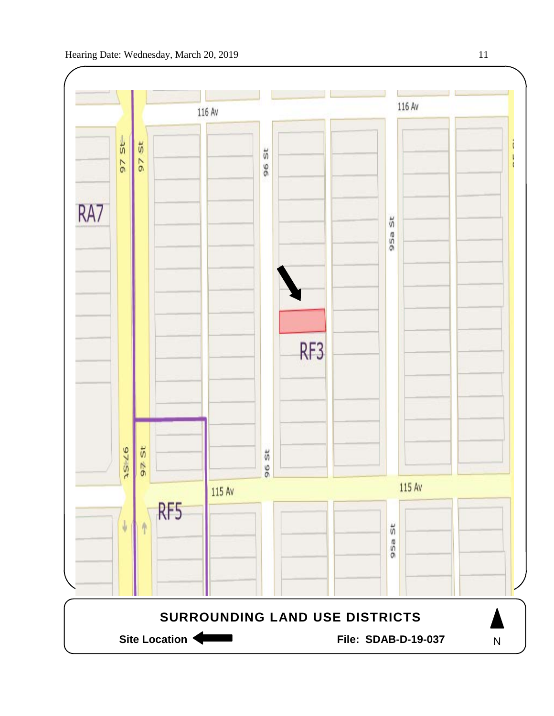

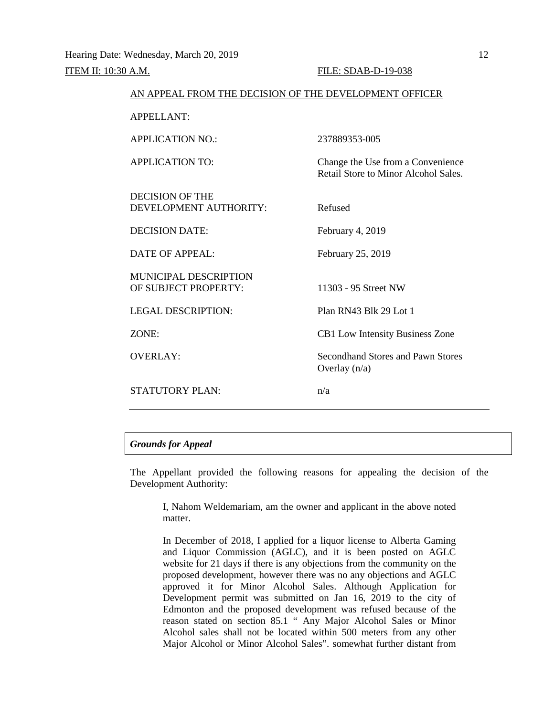| AN APPEAL FROM THE DECISION OF THE DEVELOPMENT OFFICER |                                                                           |
|--------------------------------------------------------|---------------------------------------------------------------------------|
| <b>APPELLANT:</b>                                      |                                                                           |
| <b>APPLICATION NO.:</b>                                | 237889353-005                                                             |
| <b>APPLICATION TO:</b>                                 | Change the Use from a Convenience<br>Retail Store to Minor Alcohol Sales. |
| <b>DECISION OF THE</b><br>DEVELOPMENT AUTHORITY:       | Refused                                                                   |
| <b>DECISION DATE:</b>                                  | February 4, 2019                                                          |
| DATE OF APPEAL:                                        | February 25, 2019                                                         |
| <b>MUNICIPAL DESCRIPTION</b><br>OF SUBJECT PROPERTY:   | 11303 - 95 Street NW                                                      |
| <b>LEGAL DESCRIPTION:</b>                              | Plan RN43 Blk 29 Lot 1                                                    |
| ZONE:                                                  | <b>CB1</b> Low Intensity Business Zone                                    |
| <b>OVERLAY:</b>                                        | Secondhand Stores and Pawn Stores<br>Overlay $(n/a)$                      |
| <b>STATUTORY PLAN:</b>                                 | n/a                                                                       |

## *Grounds for Appeal*

The Appellant provided the following reasons for appealing the decision of the Development Authority:

I, Nahom Weldemariam, am the owner and applicant in the above noted matter.

In December of 2018, I applied for a liquor license to Alberta Gaming and Liquor Commission (AGLC), and it is been posted on AGLC website for 21 days if there is any objections from the community on the proposed development, however there was no any objections and AGLC approved it for Minor Alcohol Sales. Although Application for Development permit was submitted on Jan 16, 2019 to the city of Edmonton and the proposed development was refused because of the reason stated on section 85.1 " Any Major Alcohol Sales or Minor Alcohol sales shall not be located within 500 meters from any other Major Alcohol or Minor Alcohol Sales". somewhat further distant from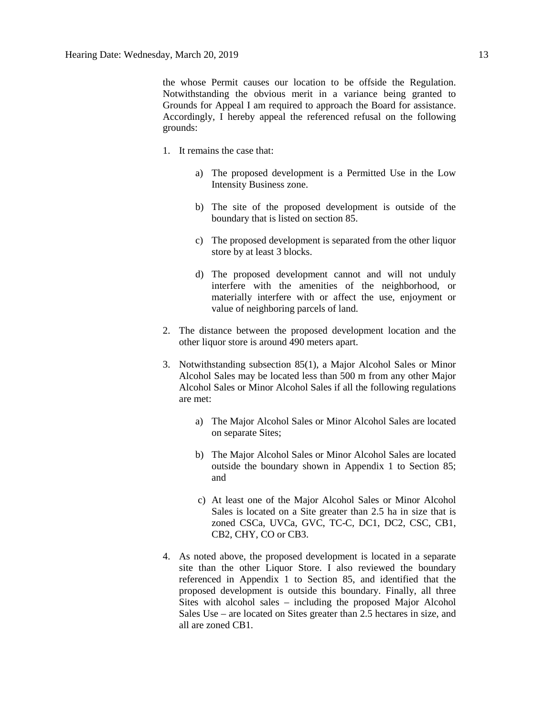the whose Permit causes our location to be offside the Regulation. Notwithstanding the obvious merit in a variance being granted to Grounds for Appeal I am required to approach the Board for assistance. Accordingly, I hereby appeal the referenced refusal on the following grounds:

- 1. It remains the case that:
	- a) The proposed development is a Permitted Use in the Low Intensity Business zone.
	- b) The site of the proposed development is outside of the boundary that is listed on section 85.
	- c) The proposed development is separated from the other liquor store by at least 3 blocks.
	- d) The proposed development cannot and will not unduly interfere with the amenities of the neighborhood, or materially interfere with or affect the use, enjoyment or value of neighboring parcels of land.
- 2. The distance between the proposed development location and the other liquor store is around 490 meters apart.
- 3. Notwithstanding subsection 85(1), a Major Alcohol Sales or Minor Alcohol Sales may be located less than 500 m from any other Major Alcohol Sales or Minor Alcohol Sales if all the following regulations are met:
	- a) The Major Alcohol Sales or Minor Alcohol Sales are located on separate Sites;
	- b) The Major Alcohol Sales or Minor Alcohol Sales are located outside the boundary shown in Appendix 1 to Section 85; and
	- c) At least one of the Major Alcohol Sales or Minor Alcohol Sales is located on a Site greater than 2.5 ha in size that is zoned CSCa, UVCa, GVC, TC-C, DC1, DC2, CSC, CB1, CB2, CHY, CO or CB3.
- 4. As noted above, the proposed development is located in a separate site than the other Liquor Store. I also reviewed the boundary referenced in Appendix 1 to Section 85, and identified that the proposed development is outside this boundary. Finally, all three Sites with alcohol sales – including the proposed Major Alcohol Sales Use – are located on Sites greater than 2.5 hectares in size, and all are zoned CB1.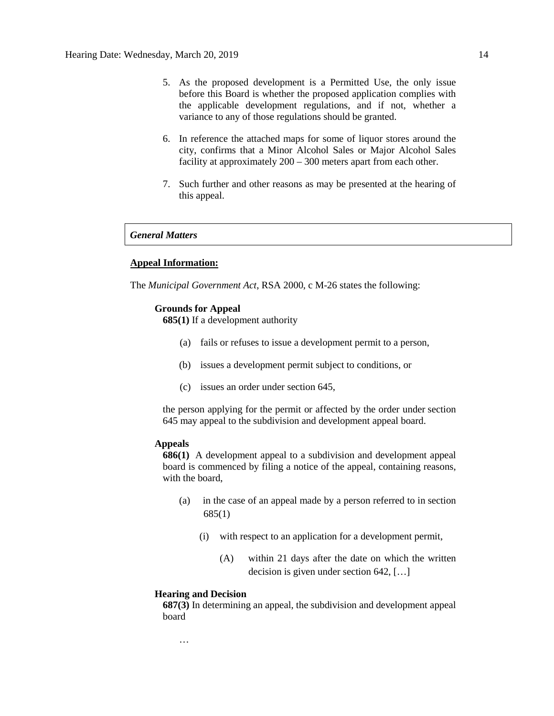- 5. As the proposed development is a Permitted Use, the only issue before this Board is whether the proposed application complies with the applicable development regulations, and if not, whether a variance to any of those regulations should be granted.
- 6. In reference the attached maps for some of liquor stores around the city, confirms that a Minor Alcohol Sales or Major Alcohol Sales facility at approximately 200 – 300 meters apart from each other.
- 7. Such further and other reasons as may be presented at the hearing of this appeal.

## *General Matters*

## **Appeal Information:**

The *Municipal Government Act*, RSA 2000, c M-26 states the following:

#### **Grounds for Appeal**

**685(1)** If a development authority

- (a) fails or refuses to issue a development permit to a person,
- (b) issues a development permit subject to conditions, or
- (c) issues an order under section 645,

the person applying for the permit or affected by the order under section 645 may appeal to the subdivision and development appeal board.

#### **Appeals**

**686(1)** A development appeal to a subdivision and development appeal board is commenced by filing a notice of the appeal, containing reasons, with the board,

- (a) in the case of an appeal made by a person referred to in section 685(1)
	- (i) with respect to an application for a development permit,
		- (A) within 21 days after the date on which the written decision is given under section 642, […]

#### **Hearing and Decision**

**687(3)** In determining an appeal, the subdivision and development appeal board

…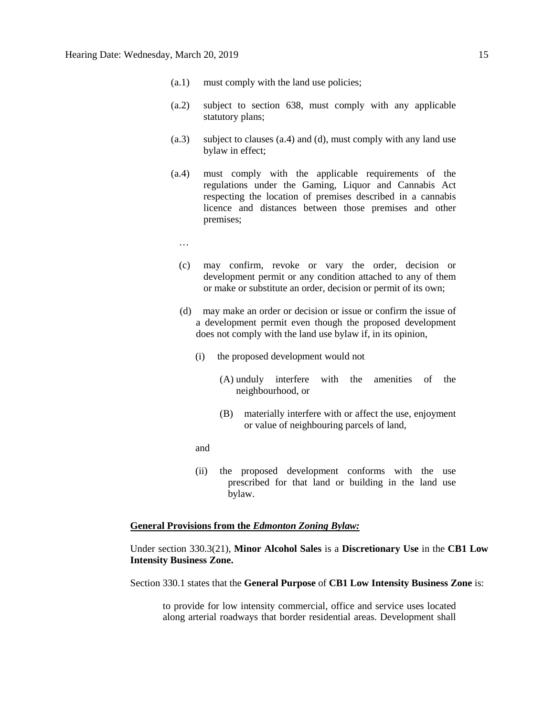- (a.1) must comply with the land use policies;
- (a.2) subject to section 638, must comply with any applicable statutory plans;
- (a.3) subject to clauses (a.4) and (d), must comply with any land use bylaw in effect;
- (a.4) must comply with the applicable requirements of the regulations under the Gaming, Liquor and Cannabis Act respecting the location of premises described in a cannabis licence and distances between those premises and other premises;
	- …
	- (c) may confirm, revoke or vary the order, decision or development permit or any condition attached to any of them or make or substitute an order, decision or permit of its own;
	- (d) may make an order or decision or issue or confirm the issue of a development permit even though the proposed development does not comply with the land use bylaw if, in its opinion,
		- (i) the proposed development would not
			- (A) unduly interfere with the amenities of the neighbourhood, or
			- (B) materially interfere with or affect the use, enjoyment or value of neighbouring parcels of land,
		- and
		- (ii) the proposed development conforms with the use prescribed for that land or building in the land use bylaw.

#### **General Provisions from the** *Edmonton Zoning Bylaw:*

Under section 330.3(21), **Minor Alcohol Sales** is a **Discretionary Use** in the **CB1 Low Intensity Business Zone.**

Section 330.1 states that the **General Purpose** of **CB1 Low Intensity Business Zone** is:

to provide for low intensity commercial, office and service uses located along arterial roadways that border residential areas. Development shall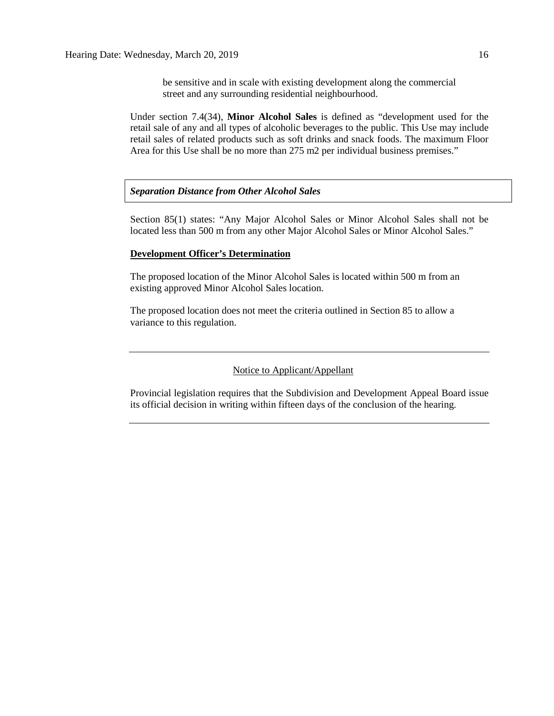be sensitive and in scale with existing development along the commercial street and any surrounding residential neighbourhood.

Under section 7.4(34), **Minor Alcohol Sales** is defined as "development used for the retail sale of any and all types of alcoholic beverages to the public. This Use may include retail sales of related products such as soft drinks and snack foods. The maximum Floor Area for this Use shall be no more than 275 m2 per individual business premises."

### *Separation Distance from Other Alcohol Sales*

Section 85(1) states: "Any Major Alcohol Sales or Minor Alcohol Sales shall not be located less than 500 m from any other Major Alcohol Sales or Minor Alcohol Sales."

## **Development Officer's Determination**

The proposed location of the Minor Alcohol Sales is located within 500 m from an existing approved Minor Alcohol Sales location.

The proposed location does not meet the criteria outlined in Section 85 to allow a variance to this regulation.

## Notice to Applicant/Appellant

Provincial legislation requires that the Subdivision and Development Appeal Board issue its official decision in writing within fifteen days of the conclusion of the hearing.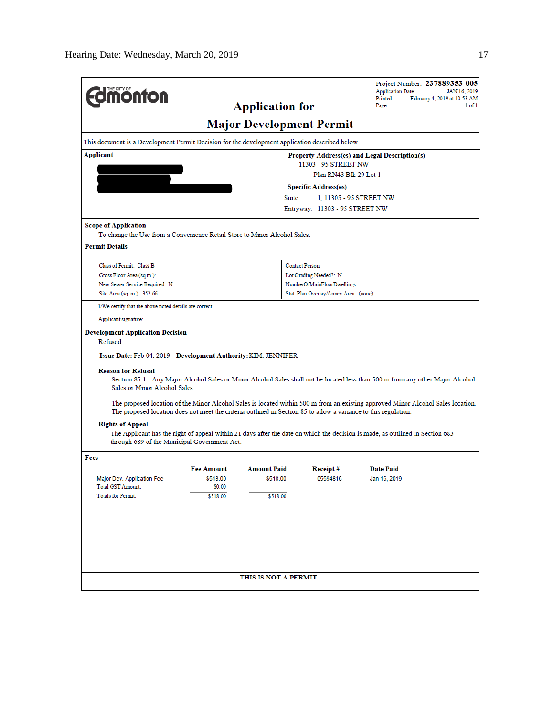|                                                                                                                 |                                                                 |                        |                                       | Project Number: 237889353-005<br><b>Application Date:</b><br>JAN 16, 2019                                                        |  |  |  |
|-----------------------------------------------------------------------------------------------------------------|-----------------------------------------------------------------|------------------------|---------------------------------------|----------------------------------------------------------------------------------------------------------------------------------|--|--|--|
| <b><i><u><u><b>MONTON</b></u></u></i></b>                                                                       |                                                                 |                        |                                       | Printed:<br>February 4, 2019 at 10:53 AM<br>Page:<br>$1$ of $1$                                                                  |  |  |  |
|                                                                                                                 |                                                                 | <b>Application for</b> |                                       |                                                                                                                                  |  |  |  |
|                                                                                                                 |                                                                 |                        | <b>Major Development Permit</b>       |                                                                                                                                  |  |  |  |
| This document is a Development Permit Decision for the development application described below.                 |                                                                 |                        |                                       |                                                                                                                                  |  |  |  |
| Applicant                                                                                                       | Property Address(es) and Legal Description(s)                   |                        |                                       |                                                                                                                                  |  |  |  |
|                                                                                                                 | 11303 - 95 STREET NW                                            |                        |                                       |                                                                                                                                  |  |  |  |
| Plan RN43 Blk 29 Lot 1                                                                                          |                                                                 |                        |                                       |                                                                                                                                  |  |  |  |
|                                                                                                                 | <b>Specific Address(es)</b><br>Suite:<br>1.11305 - 95 STREET NW |                        |                                       |                                                                                                                                  |  |  |  |
|                                                                                                                 |                                                                 |                        | Entryway: 11303 - 95 STREET NW        |                                                                                                                                  |  |  |  |
|                                                                                                                 |                                                                 |                        |                                       |                                                                                                                                  |  |  |  |
| <b>Scope of Application</b>                                                                                     |                                                                 |                        |                                       |                                                                                                                                  |  |  |  |
| To change the Use from a Convenience Retail Store to Minor Alcohol Sales.                                       |                                                                 |                        |                                       |                                                                                                                                  |  |  |  |
| <b>Permit Details</b>                                                                                           |                                                                 |                        |                                       |                                                                                                                                  |  |  |  |
| Class of Permit: Class B                                                                                        |                                                                 |                        | <b>Contact Person:</b>                |                                                                                                                                  |  |  |  |
| Gross Floor Area (sq.m.):                                                                                       |                                                                 |                        | Lot Grading Needed?: N                |                                                                                                                                  |  |  |  |
| New Sewer Service Required: N                                                                                   |                                                                 |                        | NumberOfMainFloorDwellings:           |                                                                                                                                  |  |  |  |
| Site Area (sq. m.): 352.66                                                                                      |                                                                 |                        | Stat. Plan Overlay/Annex Area: (none) |                                                                                                                                  |  |  |  |
| I/We certify that the above noted details are correct.                                                          |                                                                 |                        |                                       |                                                                                                                                  |  |  |  |
| Applicant signature:                                                                                            |                                                                 |                        |                                       |                                                                                                                                  |  |  |  |
| <b>Development Application Decision</b><br>Refused                                                              |                                                                 |                        |                                       |                                                                                                                                  |  |  |  |
| Issue Date: Feb 04, 2019 Development Authority: KIM, JENNIFER                                                   |                                                                 |                        |                                       |                                                                                                                                  |  |  |  |
| <b>Reason for Refusal</b>                                                                                       |                                                                 |                        |                                       |                                                                                                                                  |  |  |  |
| Sales or Minor Alcohol Sales.                                                                                   |                                                                 |                        |                                       | Section 85.1 - Any Major Alcohol Sales or Minor Alcohol Sales shall not be located less than 500 m from any other Major Alcohol  |  |  |  |
| The proposed location does not meet the criteria outlined in Section 85 to allow a variance to this regulation. |                                                                 |                        |                                       | The proposed location of the Minor Alcohol Sales is located within 500 m from an existing approved Minor Alcohol Sales location. |  |  |  |
| <b>Rights of Appeal</b>                                                                                         |                                                                 |                        |                                       |                                                                                                                                  |  |  |  |
| through 689 of the Municipal Government Act.                                                                    |                                                                 |                        |                                       | The Applicant has the right of appeal within 21 days after the date on which the decision is made, as outlined in Section 683    |  |  |  |
| Fees                                                                                                            |                                                                 |                        |                                       |                                                                                                                                  |  |  |  |
|                                                                                                                 | <b>Fee Amount</b>                                               | <b>Amount Paid</b>     | Receipt#                              | <b>Date Paid</b>                                                                                                                 |  |  |  |
| <b>Major Dev. Application Fee</b>                                                                               | \$518.00                                                        | \$518.00               | 05594816                              | Jan 16, 2019                                                                                                                     |  |  |  |
| Total GST Amount:<br><b>Totals for Permit:</b>                                                                  | \$0.00<br>\$518.00                                              | \$518.00               |                                       |                                                                                                                                  |  |  |  |
|                                                                                                                 |                                                                 |                        |                                       |                                                                                                                                  |  |  |  |
|                                                                                                                 |                                                                 |                        |                                       |                                                                                                                                  |  |  |  |
|                                                                                                                 |                                                                 |                        |                                       |                                                                                                                                  |  |  |  |
|                                                                                                                 |                                                                 |                        |                                       |                                                                                                                                  |  |  |  |
|                                                                                                                 |                                                                 |                        |                                       |                                                                                                                                  |  |  |  |
|                                                                                                                 |                                                                 |                        |                                       |                                                                                                                                  |  |  |  |
|                                                                                                                 |                                                                 | THIS IS NOT A PERMIT   |                                       |                                                                                                                                  |  |  |  |
|                                                                                                                 |                                                                 |                        |                                       |                                                                                                                                  |  |  |  |